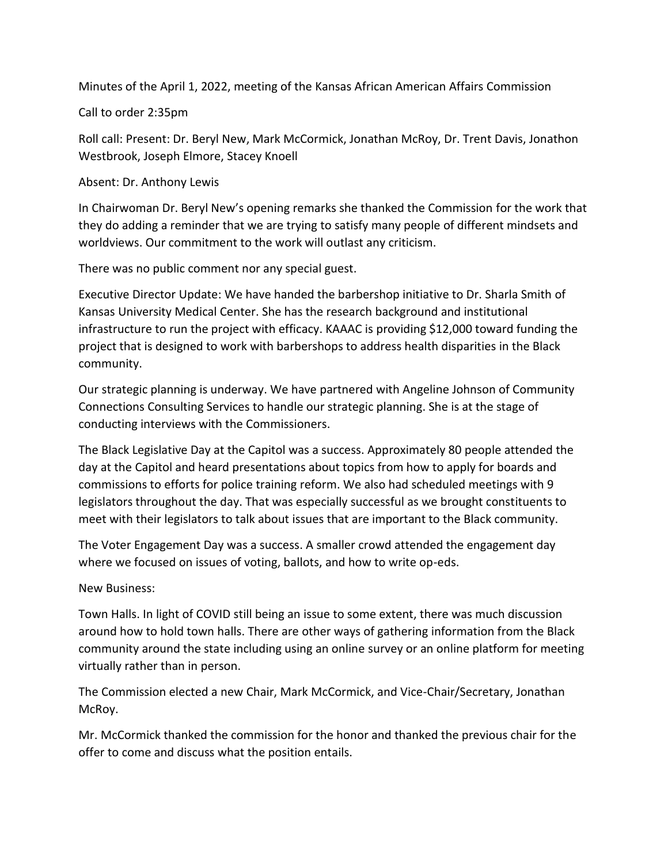Minutes of the April 1, 2022, meeting of the Kansas African American Affairs Commission

Call to order 2:35pm

Roll call: Present: Dr. Beryl New, Mark McCormick, Jonathan McRoy, Dr. Trent Davis, Jonathon Westbrook, Joseph Elmore, Stacey Knoell

Absent: Dr. Anthony Lewis

In Chairwoman Dr. Beryl New's opening remarks she thanked the Commission for the work that they do adding a reminder that we are trying to satisfy many people of different mindsets and worldviews. Our commitment to the work will outlast any criticism.

There was no public comment nor any special guest.

Executive Director Update: We have handed the barbershop initiative to Dr. Sharla Smith of Kansas University Medical Center. She has the research background and institutional infrastructure to run the project with efficacy. KAAAC is providing \$12,000 toward funding the project that is designed to work with barbershops to address health disparities in the Black community.

Our strategic planning is underway. We have partnered with Angeline Johnson of Community Connections Consulting Services to handle our strategic planning. She is at the stage of conducting interviews with the Commissioners.

The Black Legislative Day at the Capitol was a success. Approximately 80 people attended the day at the Capitol and heard presentations about topics from how to apply for boards and commissions to efforts for police training reform. We also had scheduled meetings with 9 legislators throughout the day. That was especially successful as we brought constituents to meet with their legislators to talk about issues that are important to the Black community.

The Voter Engagement Day was a success. A smaller crowd attended the engagement day where we focused on issues of voting, ballots, and how to write op-eds.

New Business:

Town Halls. In light of COVID still being an issue to some extent, there was much discussion around how to hold town halls. There are other ways of gathering information from the Black community around the state including using an online survey or an online platform for meeting virtually rather than in person.

The Commission elected a new Chair, Mark McCormick, and Vice-Chair/Secretary, Jonathan McRoy.

Mr. McCormick thanked the commission for the honor and thanked the previous chair for the offer to come and discuss what the position entails.